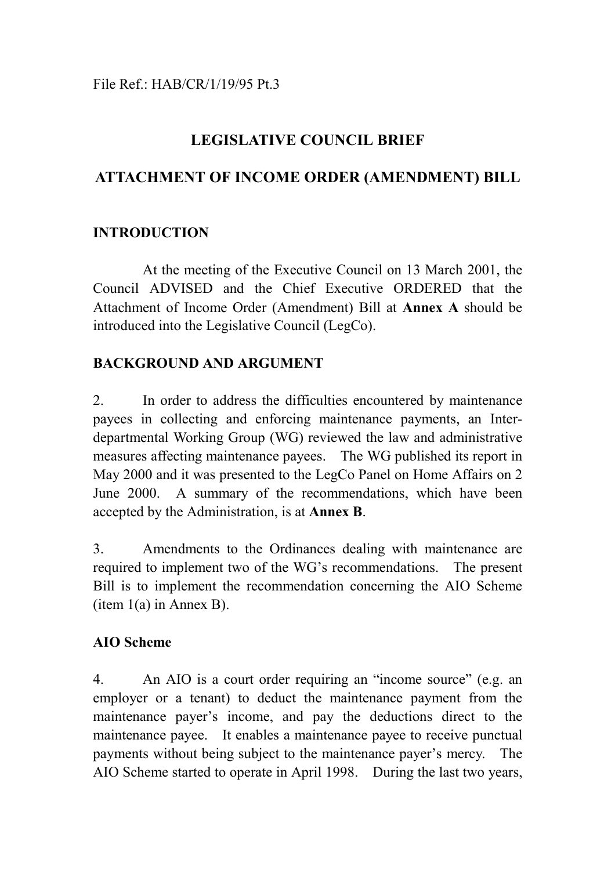# **LEGISLATIVE COUNCIL BRIEF**

# **ATTACHMENT OF INCOME ORDER (AMENDMENT) BILL**

## **INTRODUCTION**

At the meeting of the Executive Council on 13 March 2001, the Council ADVISED and the Chief Executive ORDERED that the Attachment of Income Order (Amendment) Bill at **Annex A** should be introduced into the Legislative Council (LegCo).

## **BACKGROUND AND ARGUMENT**

2. In order to address the difficulties encountered by maintenance payees in collecting and enforcing maintenance payments, an Interdepartmental Working Group (WG) reviewed the law and administrative measures affecting maintenance payees. The WG published its report in May 2000 and it was presented to the LegCo Panel on Home Affairs on 2 June 2000. A summary of the recommendations, which have been accepted by the Administration, is at **Annex B**.

3. Amendments to the Ordinances dealing with maintenance are required to implement two of the WG's recommendations. The present Bill is to implement the recommendation concerning the AIO Scheme (item 1(a) in Annex B).

## **AIO Scheme**

4. An AIO is a court order requiring an "income source" (e.g. an employer or a tenant) to deduct the maintenance payment from the maintenance payer's income, and pay the deductions direct to the maintenance payee. It enables a maintenance payee to receive punctual payments without being subject to the maintenance payer's mercy. The AIO Scheme started to operate in April 1998. During the last two years,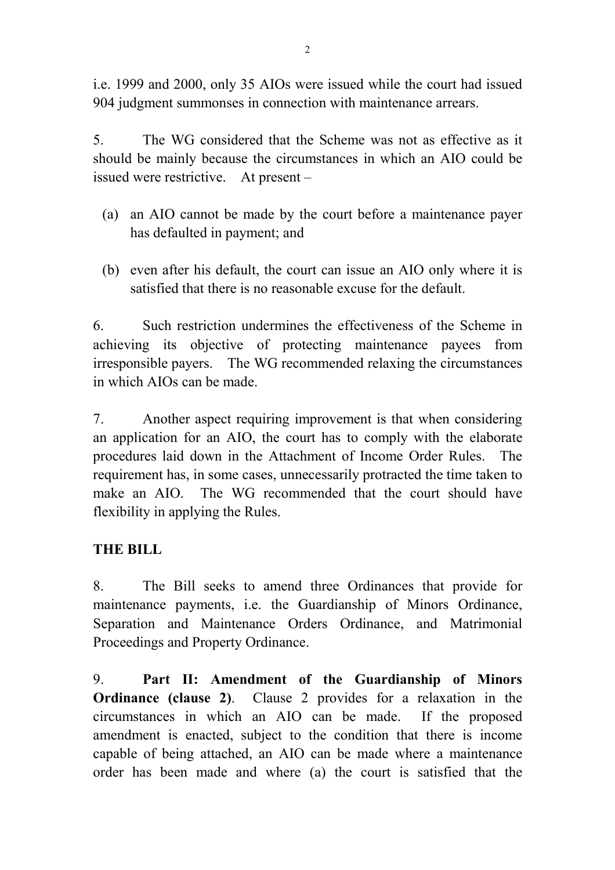i.e. 1999 and 2000, only 35 AIOs were issued while the court had issued 904 judgment summonses in connection with maintenance arrears.

5. The WG considered that the Scheme was not as effective as it should be mainly because the circumstances in which an AIO could be issued were restrictive. At present –

- (a) an AIO cannot be made by the court before a maintenance payer has defaulted in payment; and
- (b) even after his default, the court can issue an AIO only where it is satisfied that there is no reasonable excuse for the default.

6. Such restriction undermines the effectiveness of the Scheme in achieving its objective of protecting maintenance payees from irresponsible payers. The WG recommended relaxing the circumstances in which AIOs can be made.

7. Another aspect requiring improvement is that when considering an application for an AIO, the court has to comply with the elaborate procedures laid down in the Attachment of Income Order Rules. The requirement has, in some cases, unnecessarily protracted the time taken to make an AIO. The WG recommended that the court should have flexibility in applying the Rules.

## **THE BILL**

8. The Bill seeks to amend three Ordinances that provide for maintenance payments, i.e. the Guardianship of Minors Ordinance, Separation and Maintenance Orders Ordinance, and Matrimonial Proceedings and Property Ordinance.

9. **Part II: Amendment of the Guardianship of Minors Ordinance (clause 2)**. Clause 2 provides for a relaxation in the circumstances in which an AIO can be made. If the proposed amendment is enacted, subject to the condition that there is income capable of being attached, an AIO can be made where a maintenance order has been made and where (a) the court is satisfied that the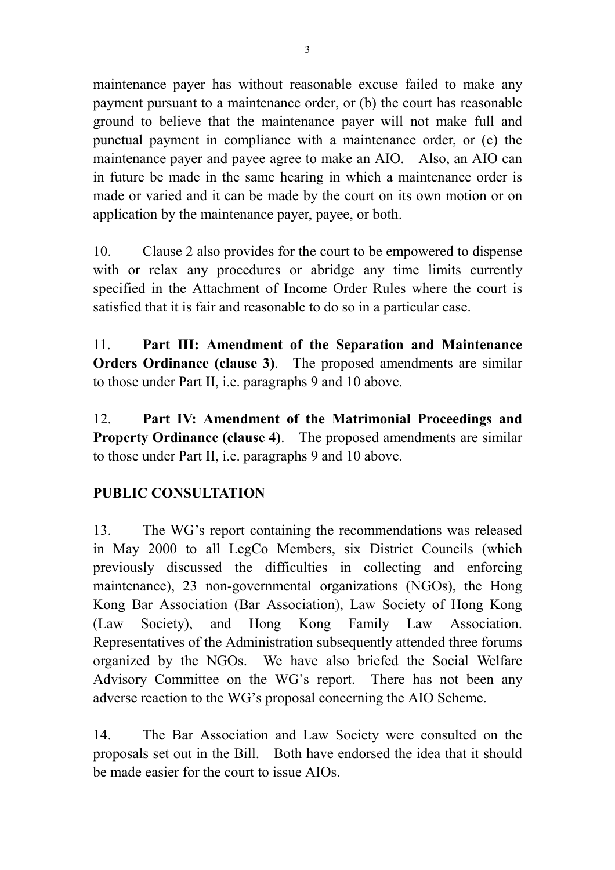maintenance payer has without reasonable excuse failed to make any payment pursuant to a maintenance order, or (b) the court has reasonable ground to believe that the maintenance payer will not make full and punctual payment in compliance with a maintenance order, or (c) the maintenance payer and payee agree to make an AIO. Also, an AIO can in future be made in the same hearing in which a maintenance order is made or varied and it can be made by the court on its own motion or on application by the maintenance payer, payee, or both.

10. Clause 2 also provides for the court to be empowered to dispense with or relax any procedures or abridge any time limits currently specified in the Attachment of Income Order Rules where the court is satisfied that it is fair and reasonable to do so in a particular case.

11. **Part III: Amendment of the Separation and Maintenance Orders Ordinance (clause 3)**. The proposed amendments are similar to those under Part II, i.e. paragraphs 9 and 10 above.

12. **Part IV: Amendment of the Matrimonial Proceedings and Property Ordinance (clause 4)**. The proposed amendments are similar to those under Part II, i.e. paragraphs 9 and 10 above.

## **PUBLIC CONSULTATION**

13. The WG's report containing the recommendations was released in May 2000 to all LegCo Members, six District Councils (which previously discussed the difficulties in collecting and enforcing maintenance), 23 non-governmental organizations (NGOs), the Hong Kong Bar Association (Bar Association), Law Society of Hong Kong (Law Society), and Hong Kong Family Law Association. Representatives of the Administration subsequently attended three forums organized by the NGOs. We have also briefed the Social Welfare Advisory Committee on the WG's report. There has not been any adverse reaction to the WG's proposal concerning the AIO Scheme.

14. The Bar Association and Law Society were consulted on the proposals set out in the Bill. Both have endorsed the idea that it should be made easier for the court to issue AIOs.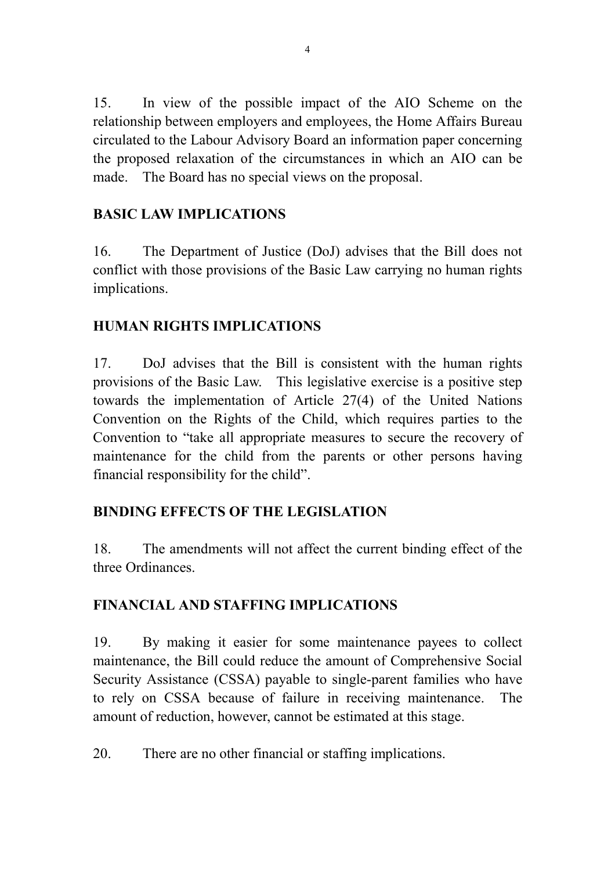15. In view of the possible impact of the AIO Scheme on the relationship between employers and employees, the Home Affairs Bureau circulated to the Labour Advisory Board an information paper concerning the proposed relaxation of the circumstances in which an AIO can be made. The Board has no special views on the proposal.

## **BASIC LAW IMPLICATIONS**

16. The Department of Justice (DoJ) advises that the Bill does not conflict with those provisions of the Basic Law carrying no human rights implications.

## **HUMAN RIGHTS IMPLICATIONS**

17. DoJ advises that the Bill is consistent with the human rights provisions of the Basic Law. This legislative exercise is a positive step towards the implementation of Article 27(4) of the United Nations Convention on the Rights of the Child, which requires parties to the Convention to "take all appropriate measures to secure the recovery of maintenance for the child from the parents or other persons having financial responsibility for the child".

## **BINDING EFFECTS OF THE LEGISLATION**

18. The amendments will not affect the current binding effect of the three Ordinances.

## **FINANCIAL AND STAFFING IMPLICATIONS**

19. By making it easier for some maintenance payees to collect maintenance, the Bill could reduce the amount of Comprehensive Social Security Assistance (CSSA) payable to single-parent families who have to rely on CSSA because of failure in receiving maintenance. The amount of reduction, however, cannot be estimated at this stage.

20. There are no other financial or staffing implications.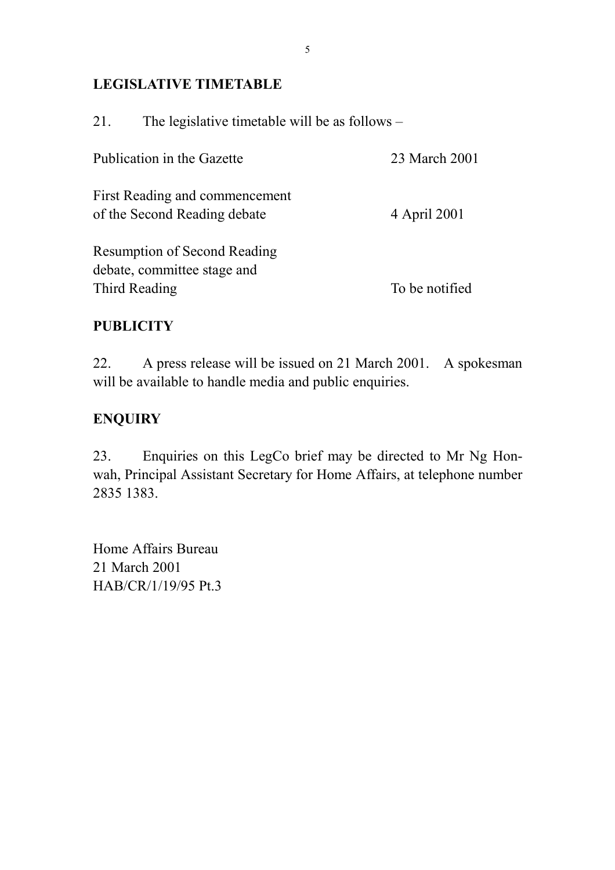## **LEGISLATIVE TIMETABLE**

| 21.           | The legislative timetable will be as follows –                     |                |
|---------------|--------------------------------------------------------------------|----------------|
|               | Publication in the Gazette                                         | 23 March 2001  |
|               | First Reading and commencement<br>of the Second Reading debate     | 4 April 2001   |
|               | <b>Resumption of Second Reading</b><br>debate, committee stage and |                |
| Third Reading |                                                                    | To be notified |

## **PUBLICITY**

22. A press release will be issued on 21 March 2001. A spokesman will be available to handle media and public enquiries.

## **ENQUIRY**

23. Enquiries on this LegCo brief may be directed to Mr Ng Honwah, Principal Assistant Secretary for Home Affairs, at telephone number 2835 1383.

Home Affairs Bureau 21 March 2001 HAB/CR/1/19/95 Pt.3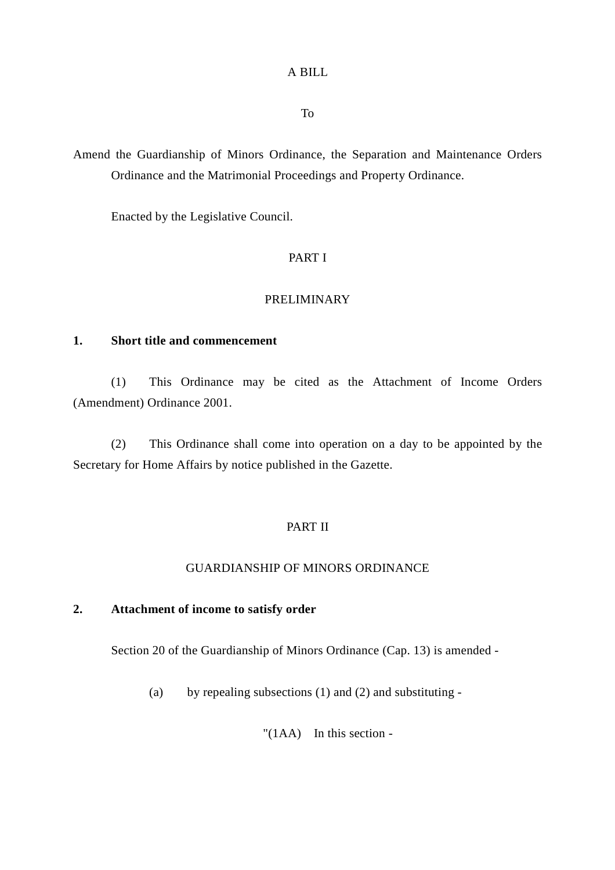## A BILL

To

Amend the Guardianship of Minors Ordinance, the Separation and Maintenance Orders Ordinance and the Matrimonial Proceedings and Property Ordinance.

Enacted by the Legislative Council.

### PART I

### PRELIMINARY

### **1. Short title and commencement**

(1) This Ordinance may be cited as the Attachment of Income Orders (Amendment) Ordinance 2001.

(2) This Ordinance shall come into operation on a day to be appointed by the Secretary for Home Affairs by notice published in the Gazette.

## PART II

### GUARDIANSHIP OF MINORS ORDINANCE

### **2. Attachment of income to satisfy order**

Section 20 of the Guardianship of Minors Ordinance (Cap. 13) is amended -

(a) by repealing subsections (1) and (2) and substituting -

"(1AA) In this section -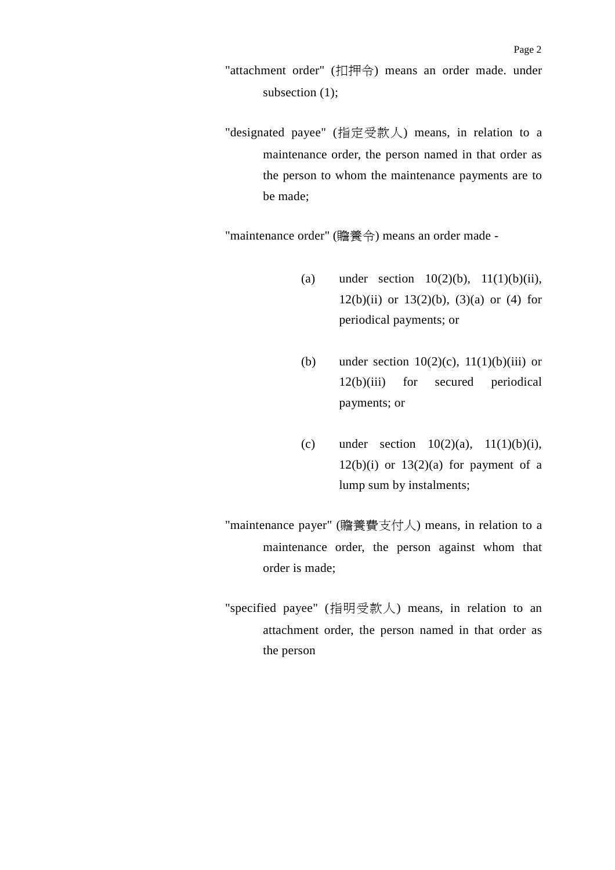- "attachment order" (扣押令) means an order made. under subsection  $(1)$ ;
- "designated payee" (指定受款人) means, in relation to a maintenance order, the person named in that order as the person to whom the maintenance payments are to be made;

"maintenance order" (贍養令) means an order made -

- (a) under section  $10(2)(b)$ ,  $11(1)(b)(ii)$ , 12(b)(ii) or  $13(2)(b)$ ,  $(3)(a)$  or  $(4)$  for periodical payments; or
- (b) under section  $10(2)(c)$ ,  $11(1)(b)(iii)$  or 12(b)(iii) for secured periodical payments; or
- (c) under section  $10(2)(a)$ ,  $11(1)(b)(i)$ ,  $12(b)(i)$  or  $13(2)(a)$  for payment of a lump sum by instalments;
- "maintenance payer" (贍養費支付㆟) means, in relation to a maintenance order, the person against whom that order is made;
- "specified payee" (指明受款㆟) means, in relation to an attachment order, the person named in that order as the person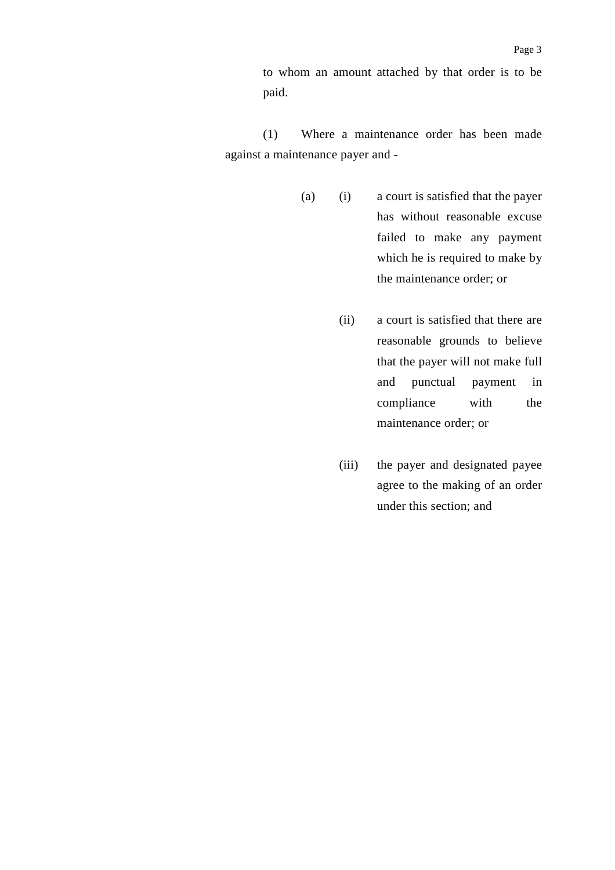to whom an amount attached by that order is to be paid.

(1) Where a maintenance order has been made against a maintenance payer and -

- (a) (i) a court is satisfied that the payer has without reasonable excuse failed to make any payment which he is required to make by the maintenance order; or
	- (ii) a court is satisfied that there are reasonable grounds to believe that the payer will not make full and punctual payment in compliance with the maintenance order; or
	- (iii) the payer and designated payee agree to the making of an order under this section; and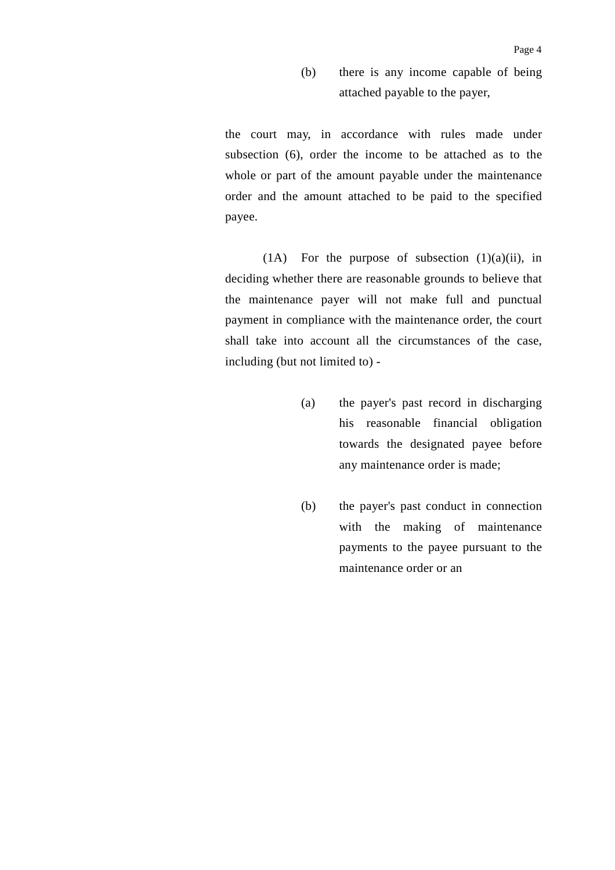(b) there is any income capable of being attached payable to the payer,

the court may, in accordance with rules made under subsection (6), order the income to be attached as to the whole or part of the amount payable under the maintenance order and the amount attached to be paid to the specified payee.

(1A) For the purpose of subsection  $(1)(a)(ii)$ , in deciding whether there are reasonable grounds to believe that the maintenance payer will not make full and punctual payment in compliance with the maintenance order, the court shall take into account all the circumstances of the case, including (but not limited to) -

- (a) the payer's past record in discharging his reasonable financial obligation towards the designated payee before any maintenance order is made;
- (b) the payer's past conduct in connection with the making of maintenance payments to the payee pursuant to the maintenance order or an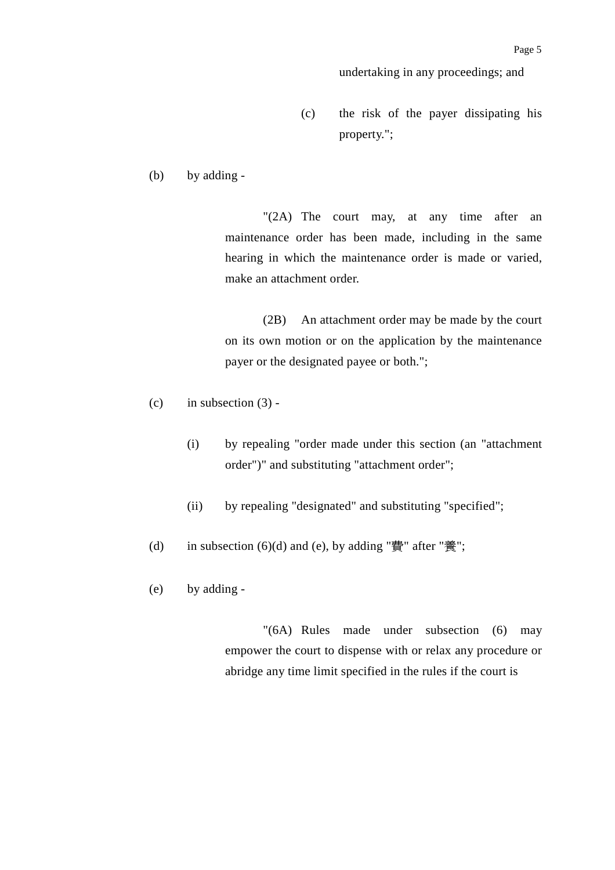undertaking in any proceedings; and

- (c) the risk of the payer dissipating his property.";
- (b) by adding -

"(2A) The court may, at any time after an maintenance order has been made, including in the same hearing in which the maintenance order is made or varied, make an attachment order.

(2B) An attachment order may be made by the court on its own motion or on the application by the maintenance payer or the designated payee or both.";

- $(c)$  in subsection  $(3)$  -
	- (i) by repealing "order made under this section (an "attachment order")" and substituting "attachment order";
	- (ii) by repealing "designated" and substituting "specified";
- (d) in subsection  $(6)(d)$  and  $(e)$ , by adding "費" after "養";
- (e) by adding -

"(6A) Rules made under subsection (6) may empower the court to dispense with or relax any procedure or abridge any time limit specified in the rules if the court is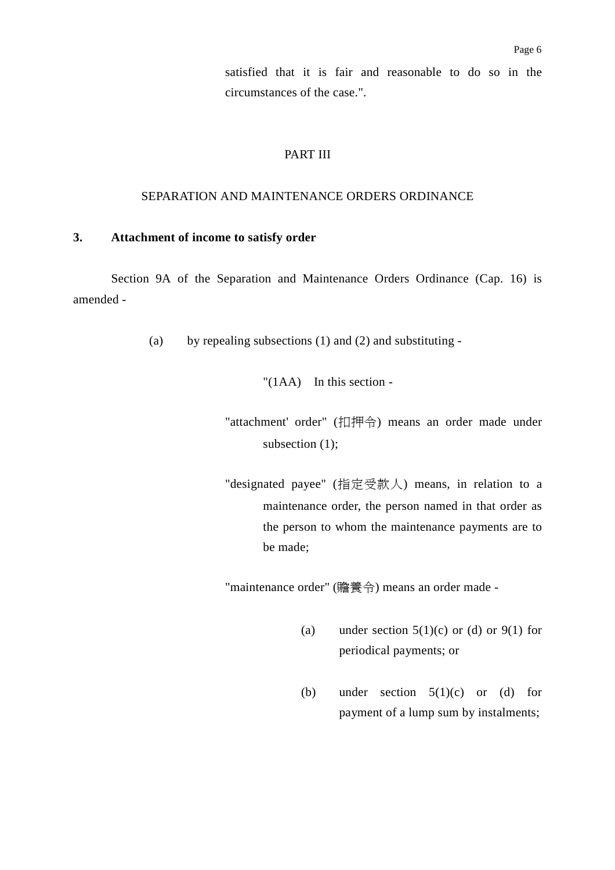satisfied that it is fair and reasonable to do so in the circumstances of the case.".

### PART III

### SEPARATION AND MAINTENANCE ORDERS ORDINANCE

### **3. Attachment of income to satisfy order**

Section 9A of the Separation and Maintenance Orders Ordinance (Cap. 16) is amended -

(a) by repealing subsections (1) and (2) and substituting -

"(1AA) In this section -

- "attachment' order" (扣押令) means an order made under subsection  $(1)$ ;
- "designated payee" (指定受款㆟) means, in relation to a maintenance order, the person named in that order as the person to whom the maintenance payments are to be made;

"maintenance order" (贍養令) means an order made -

- (a) under section  $5(1)(c)$  or (d) or  $9(1)$  for periodical payments; or
- (b) under section  $5(1)(c)$  or (d) for payment of a lump sum by instalments;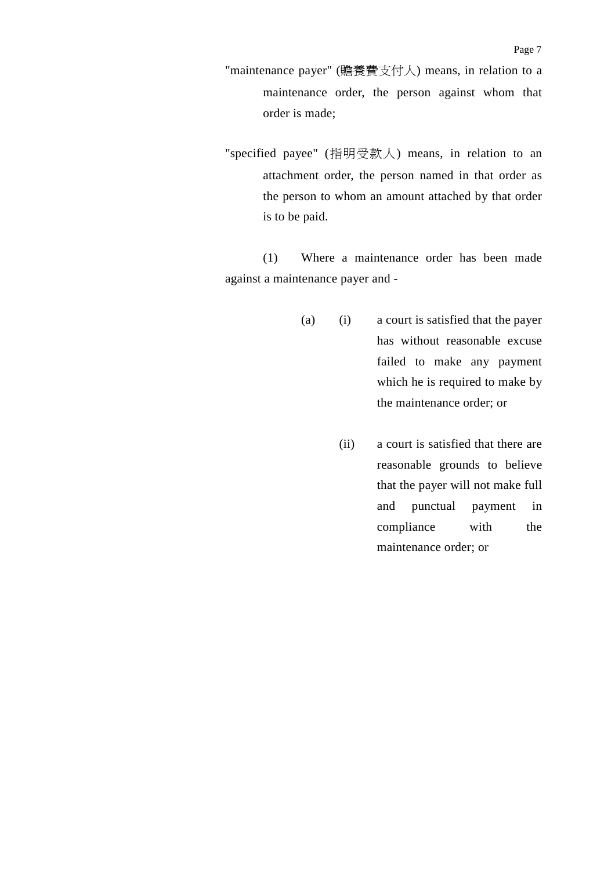- "maintenance payer" (贍養費支付㆟) means, in relation to a maintenance order, the person against whom that order is made;
- "specified payee" (指明受款㆟) means, in relation to an attachment order, the person named in that order as the person to whom an amount attached by that order is to be paid.

(1) Where a maintenance order has been made against a maintenance payer and -

- (a) (i) a court is satisfied that the payer has without reasonable excuse failed to make any payment which he is required to make by the maintenance order; or
	- (ii) a court is satisfied that there are reasonable grounds to believe that the payer will not make full and punctual payment in compliance with the maintenance order; or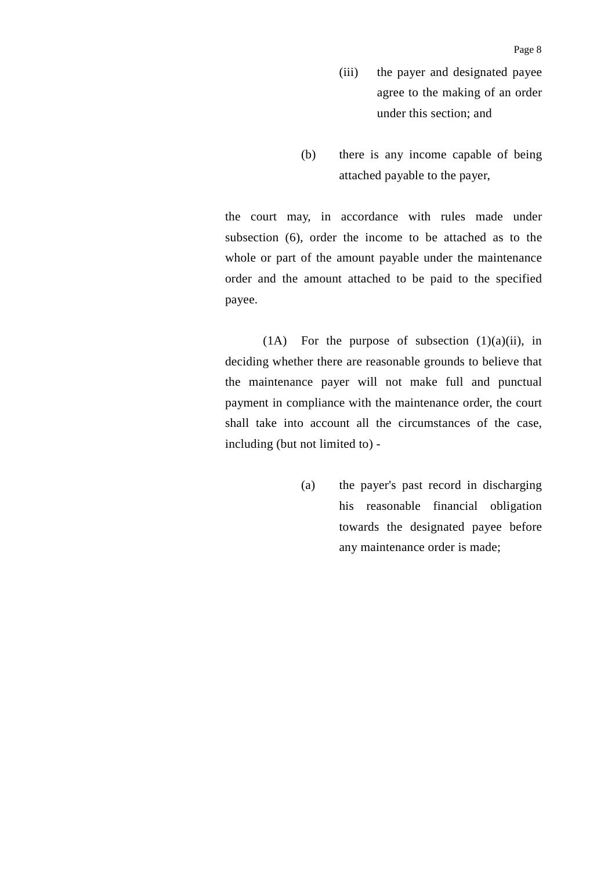- (iii) the payer and designated payee agree to the making of an order under this section; and
- (b) there is any income capable of being attached payable to the payer,

the court may, in accordance with rules made under subsection (6), order the income to be attached as to the whole or part of the amount payable under the maintenance order and the amount attached to be paid to the specified payee.

(1A) For the purpose of subsection  $(1)(a)(ii)$ , in deciding whether there are reasonable grounds to believe that the maintenance payer will not make full and punctual payment in compliance with the maintenance order, the court shall take into account all the circumstances of the case, including (but not limited to) -

> (a) the payer's past record in discharging his reasonable financial obligation towards the designated payee before any maintenance order is made;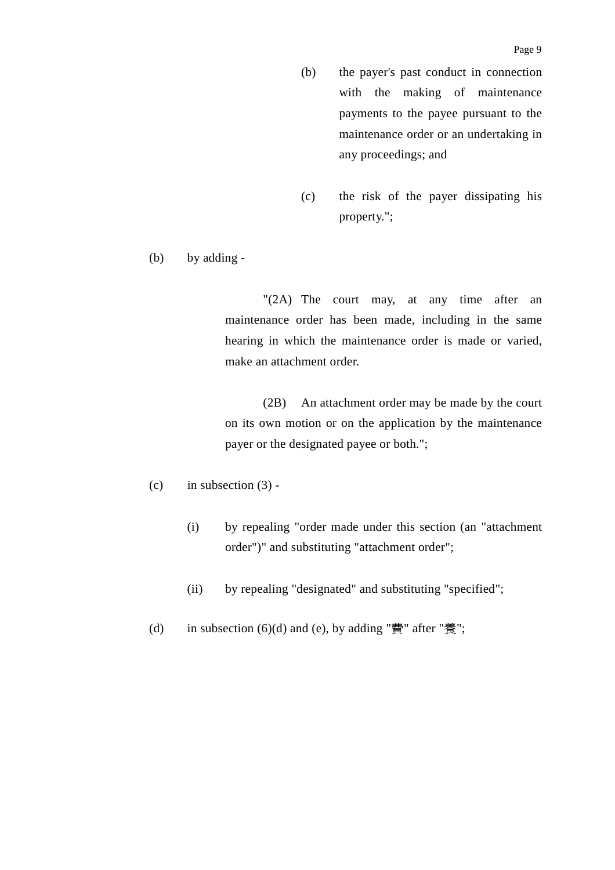- (b) the payer's past conduct in connection with the making of maintenance payments to the payee pursuant to the maintenance order or an undertaking in any proceedings; and
- (c) the risk of the payer dissipating his property.";
- (b) by adding -

"(2A) The court may, at any time after an maintenance order has been made, including in the same hearing in which the maintenance order is made or varied, make an attachment order.

(2B) An attachment order may be made by the court on its own motion or on the application by the maintenance payer or the designated payee or both.";

- $(c)$  in subsection  $(3)$  -
	- (i) by repealing "order made under this section (an "attachment order")" and substituting "attachment order";
	- (ii) by repealing "designated" and substituting "specified";
- (d) in subsection  $(6)(d)$  and  $(e)$ , by adding "費" after "養";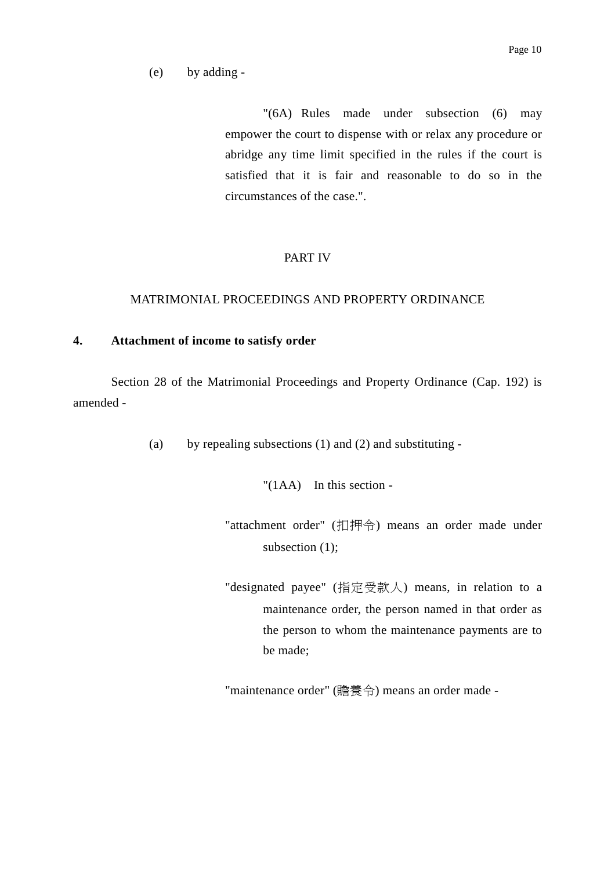## (e) by adding -

"(6A) Rules made under subsection (6) may empower the court to dispense with or relax any procedure or abridge any time limit specified in the rules if the court is satisfied that it is fair and reasonable to do so in the circumstances of the case.".

### PART IV

### MATRIMONIAL PROCEEDINGS AND PROPERTY ORDINANCE

### **4. Attachment of income to satisfy order**

Section 28 of the Matrimonial Proceedings and Property Ordinance (Cap. 192) is amended -

(a) by repealing subsections (1) and (2) and substituting -

"(1AA) In this section -

- "attachment order" (扣押令) means an order made under subsection  $(1)$ ;
- "designated payee" (指定受款人) means, in relation to a maintenance order, the person named in that order as the person to whom the maintenance payments are to be made;

"maintenance order" (贍養令) means an order made -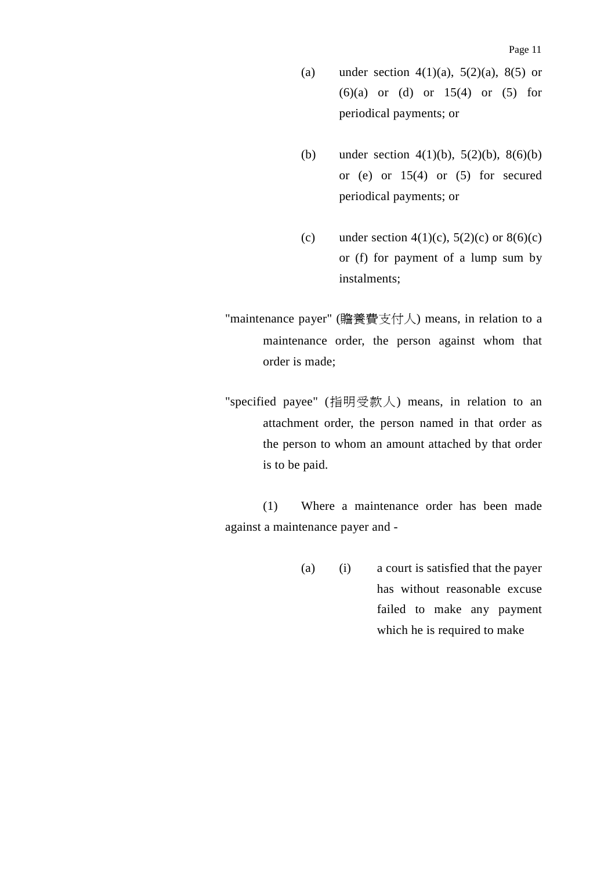- (a) under section  $4(1)(a)$ ,  $5(2)(a)$ ,  $8(5)$  or  $(6)(a)$  or  $(d)$  or  $15(4)$  or  $(5)$  for periodical payments; or
- (b) under section  $4(1)(b)$ ,  $5(2)(b)$ ,  $8(6)(b)$ or (e) or  $15(4)$  or  $(5)$  for secured periodical payments; or
- (c) under section 4(1)(c), 5(2)(c) or  $8(6)(c)$ or (f) for payment of a lump sum by instalments;
- "maintenance payer" (贍養費支付㆟) means, in relation to a maintenance order, the person against whom that order is made;
- "specified payee" (指明受款㆟) means, in relation to an attachment order, the person named in that order as the person to whom an amount attached by that order is to be paid.

(1) Where a maintenance order has been made against a maintenance payer and -

> (a) (i) a court is satisfied that the payer has without reasonable excuse failed to make any payment which he is required to make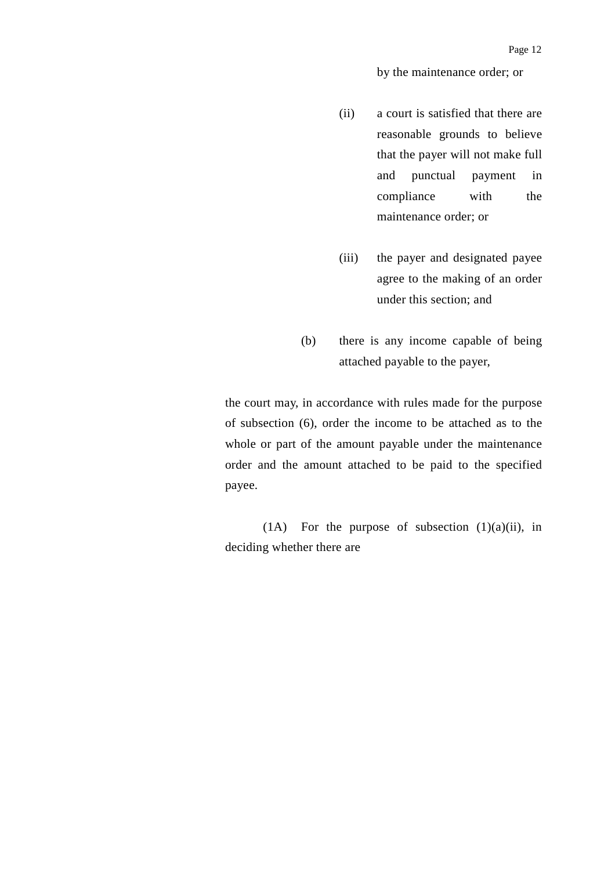by the maintenance order; or

- (ii) a court is satisfied that there are reasonable grounds to believe that the payer will not make full and punctual payment in compliance with the maintenance order; or
- (iii) the payer and designated payee agree to the making of an order under this section; and
- (b) there is any income capable of being attached payable to the payer,

the court may, in accordance with rules made for the purpose of subsection (6), order the income to be attached as to the whole or part of the amount payable under the maintenance order and the amount attached to be paid to the specified payee.

(1A) For the purpose of subsection  $(1)(a)(ii)$ , in deciding whether there are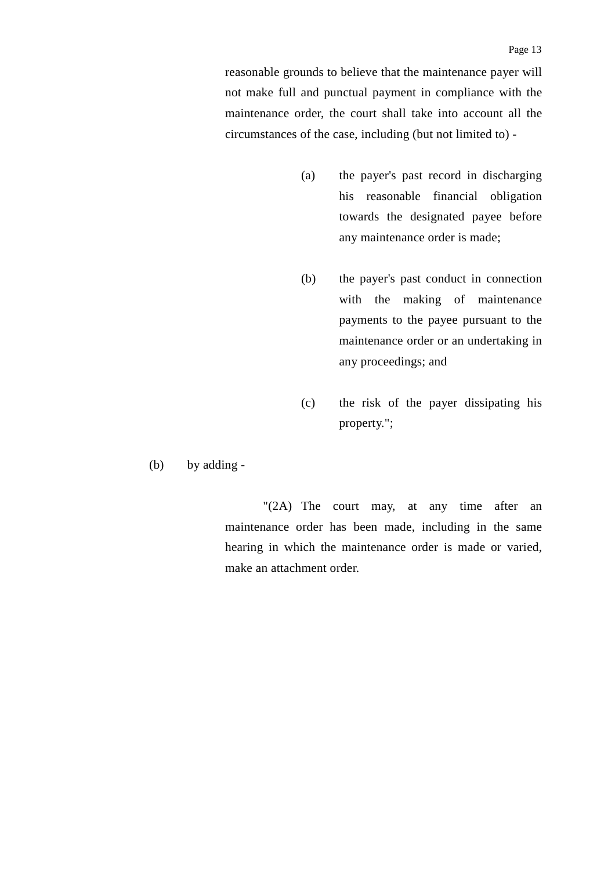reasonable grounds to believe that the maintenance payer will not make full and punctual payment in compliance with the maintenance order, the court shall take into account all the circumstances of the case, including (but not limited to) -

- (a) the payer's past record in discharging his reasonable financial obligation towards the designated payee before any maintenance order is made;
- (b) the payer's past conduct in connection with the making of maintenance payments to the payee pursuant to the maintenance order or an undertaking in any proceedings; and
- (c) the risk of the payer dissipating his property.";
- (b) by adding -

"(2A) The court may, at any time after an maintenance order has been made, including in the same hearing in which the maintenance order is made or varied, make an attachment order.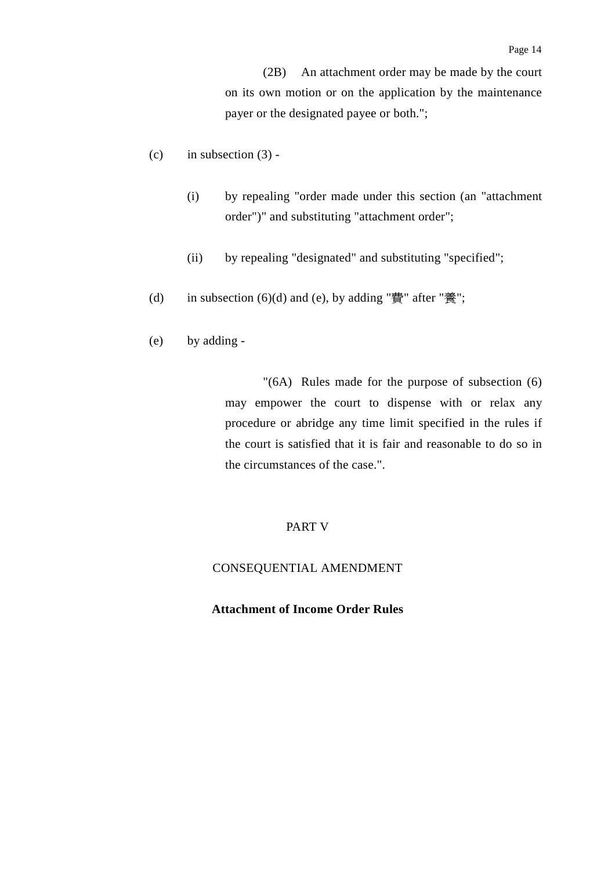(2B) An attachment order may be made by the court on its own motion or on the application by the maintenance payer or the designated payee or both.";

- (c) in subsection  $(3)$  -
	- (i) by repealing "order made under this section (an "attachment order")" and substituting "attachment order";
	- (ii) by repealing "designated" and substituting "specified";
- (d) in subsection  $(6)(d)$  and  $(e)$ , by adding "費" after "養";
- (e) by adding -

"(6A) Rules made for the purpose of subsection (6) may empower the court to dispense with or relax any procedure or abridge any time limit specified in the rules if the court is satisfied that it is fair and reasonable to do so in the circumstances of the case.".

### PART V

#### CONSEQUENTIAL AMENDMENT

### **Attachment of Income Order Rules**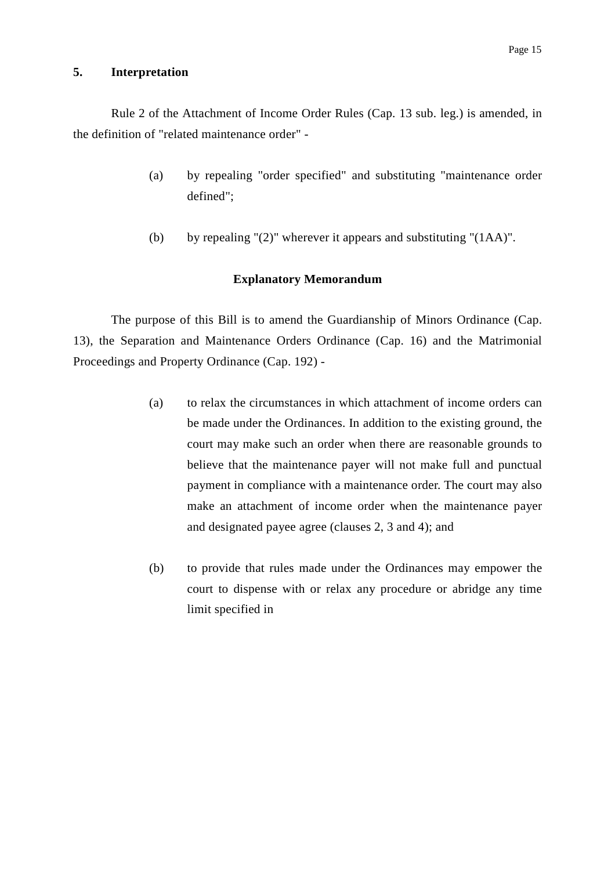### **5. Interpretation**

Rule 2 of the Attachment of Income Order Rules (Cap. 13 sub. leg.) is amended, in the definition of "related maintenance order" -

- (a) by repealing "order specified" and substituting "maintenance order defined";
- (b) by repealing " $(2)$ " wherever it appears and substituting " $(1AA)$ ".

#### **Explanatory Memorandum**

The purpose of this Bill is to amend the Guardianship of Minors Ordinance (Cap. 13), the Separation and Maintenance Orders Ordinance (Cap. 16) and the Matrimonial Proceedings and Property Ordinance (Cap. 192) -

- (a) to relax the circumstances in which attachment of income orders can be made under the Ordinances. In addition to the existing ground, the court may make such an order when there are reasonable grounds to believe that the maintenance payer will not make full and punctual payment in compliance with a maintenance order. The court may also make an attachment of income order when the maintenance payer and designated payee agree (clauses 2, 3 and 4); and
- (b) to provide that rules made under the Ordinances may empower the court to dispense with or relax any procedure or abridge any time limit specified in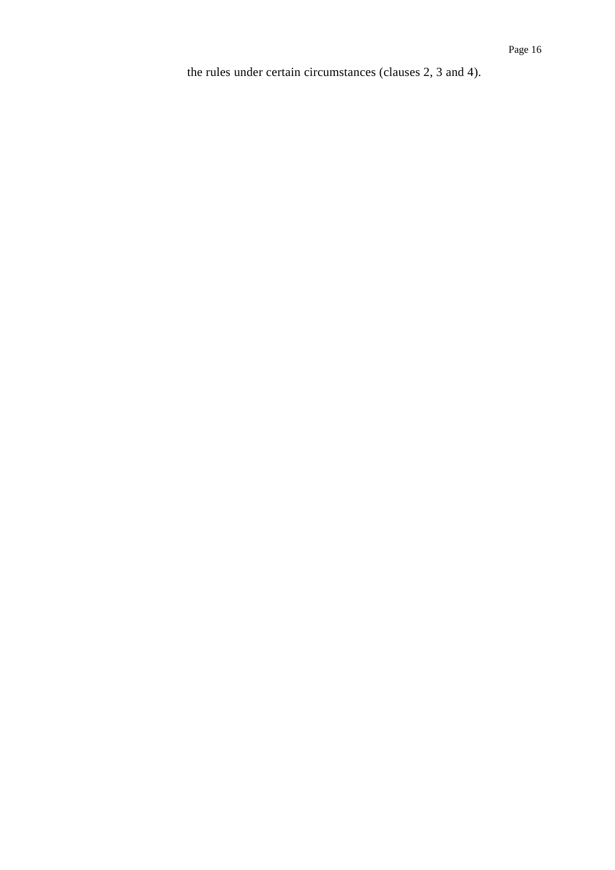the rules under certain circumstances (clauses 2, 3 and 4).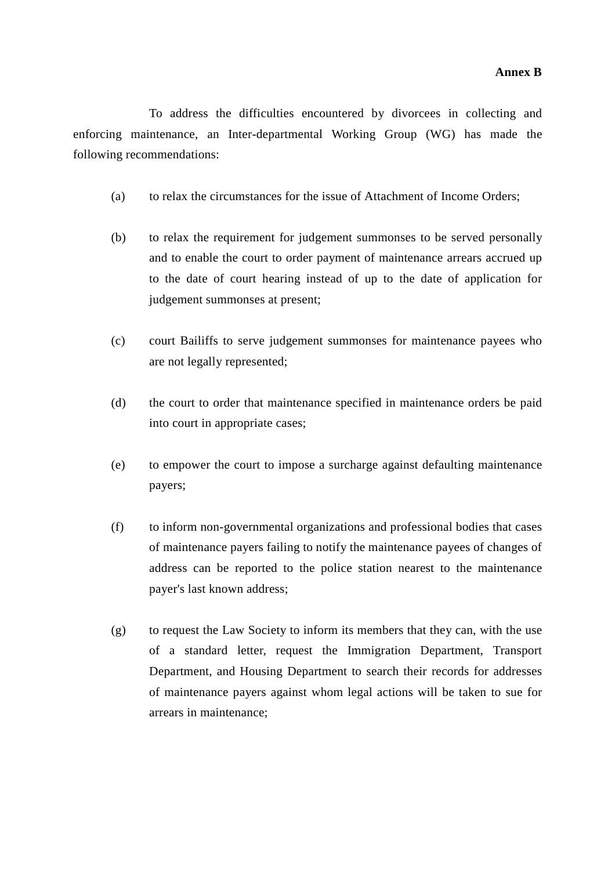To address the difficulties encountered by divorcees in collecting and enforcing maintenance, an Inter-departmental Working Group (WG) has made the following recommendations:

- (a) to relax the circumstances for the issue of Attachment of Income Orders;
- (b) to relax the requirement for judgement summonses to be served personally and to enable the court to order payment of maintenance arrears accrued up to the date of court hearing instead of up to the date of application for judgement summonses at present;
- (c) court Bailiffs to serve judgement summonses for maintenance payees who are not legally represented;
- (d) the court to order that maintenance specified in maintenance orders be paid into court in appropriate cases;
- (e) to empower the court to impose a surcharge against defaulting maintenance payers;
- (f) to inform non-governmental organizations and professional bodies that cases of maintenance payers failing to notify the maintenance payees of changes of address can be reported to the police station nearest to the maintenance payer's last known address;
- (g) to request the Law Society to inform its members that they can, with the use of a standard letter, request the Immigration Department, Transport Department, and Housing Department to search their records for addresses of maintenance payers against whom legal actions will be taken to sue for arrears in maintenance;